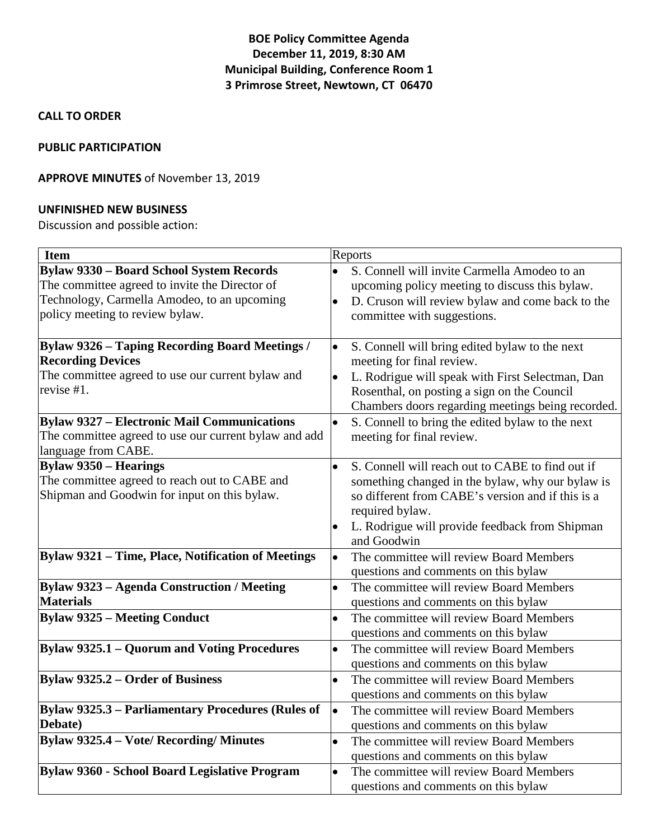# **BOE Policy Committee Agenda December 11, 2019, 8:30 AM Municipal Building, Conference Room 1 3 Primrose Street, Newtown, CT 06470**

#### **CALL TO ORDER**

#### **PUBLIC PARTICIPATION**

## **APPROVE MINUTES** of November 13, 2019

#### **UNFINISHED NEW BUSINESS**

Discussion and possible action:

| <b>Item</b>                                              | Reports                                                       |
|----------------------------------------------------------|---------------------------------------------------------------|
| <b>Bylaw 9330 - Board School System Records</b>          | S. Connell will invite Carmella Amodeo to an<br>$\bullet$     |
| The committee agreed to invite the Director of           | upcoming policy meeting to discuss this bylaw.                |
| Technology, Carmella Amodeo, to an upcoming              | D. Cruson will review bylaw and come back to the<br>$\bullet$ |
| policy meeting to review bylaw.                          | committee with suggestions.                                   |
|                                                          |                                                               |
| <b>Bylaw 9326 - Taping Recording Board Meetings /</b>    | S. Connell will bring edited bylaw to the next<br>$\bullet$   |
| <b>Recording Devices</b>                                 | meeting for final review.                                     |
| The committee agreed to use our current bylaw and        | L. Rodrigue will speak with First Selectman, Dan              |
| revise #1.                                               | Rosenthal, on posting a sign on the Council                   |
|                                                          | Chambers doors regarding meetings being recorded.             |
| <b>Bylaw 9327 - Electronic Mail Communications</b>       | $\bullet$<br>S. Connell to bring the edited bylaw to the next |
| The committee agreed to use our current bylaw and add    | meeting for final review.                                     |
| language from CABE.                                      |                                                               |
| <b>Bylaw 9350 – Hearings</b>                             | S. Connell will reach out to CABE to find out if<br>$\bullet$ |
| The committee agreed to reach out to CABE and            | something changed in the bylaw, why our bylaw is              |
| Shipman and Goodwin for input on this bylaw.             | so different from CABE's version and if this is a             |
|                                                          | required bylaw.                                               |
|                                                          | L. Rodrigue will provide feedback from Shipman                |
|                                                          | and Goodwin                                                   |
| Bylaw 9321 - Time, Place, Notification of Meetings       | The committee will review Board Members<br>$\bullet$          |
|                                                          | questions and comments on this bylaw                          |
| <b>Bylaw 9323 - Agenda Construction / Meeting</b>        | The committee will review Board Members<br>$\bullet$          |
| <b>Materials</b>                                         | questions and comments on this bylaw                          |
| <b>Bylaw 9325 - Meeting Conduct</b>                      | The committee will review Board Members<br>$\bullet$          |
|                                                          | questions and comments on this bylaw                          |
| Bylaw 9325.1 - Quorum and Voting Procedures              | The committee will review Board Members<br>$\bullet$          |
|                                                          | questions and comments on this bylaw                          |
| <b>Bylaw 9325.2 – Order of Business</b>                  | The committee will review Board Members<br>$\bullet$          |
|                                                          | questions and comments on this bylaw                          |
| <b>Bylaw 9325.3 - Parliamentary Procedures (Rules of</b> | The committee will review Board Members<br>$\bullet$          |
| Debate)                                                  | questions and comments on this bylaw                          |
| <b>Bylaw 9325.4 - Vote/ Recording/ Minutes</b>           | The committee will review Board Members<br>$\bullet$          |
|                                                          | questions and comments on this bylaw                          |
| Bylaw 9360 - School Board Legislative Program            | The committee will review Board Members<br>$\bullet$          |
|                                                          | questions and comments on this bylaw                          |